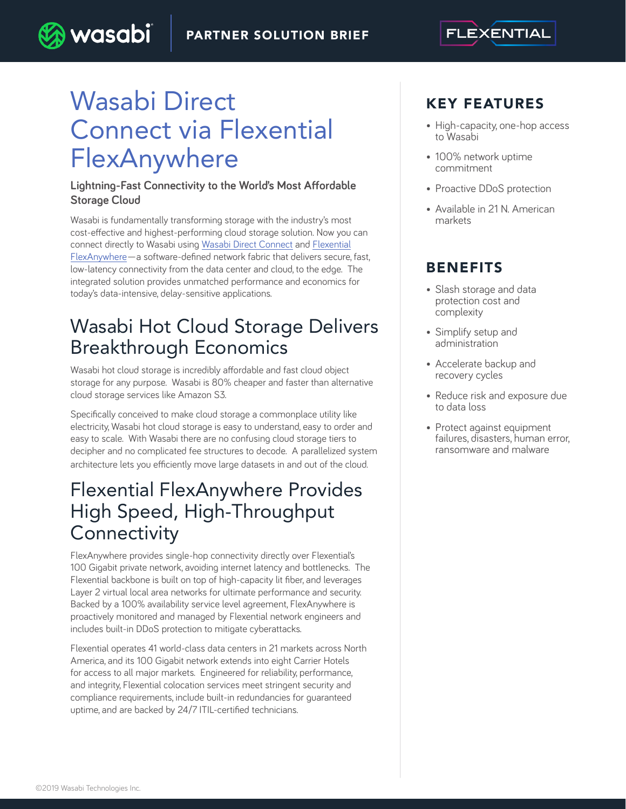

# Wasabi Direct Connect via Flexential **FlexAnywhere**

**wasabi** 

#### **Lightning-Fast Connectivity to the World's Most Affordable Storage Cloud**

Wasabi is fundamentally transforming storage with the industry's most cost-effective and highest-performing cloud storage solution. Now you can connect directly to Wasabi using Wasabi Direct Connect and Flexential FlexAnywhere—a software-defined network fabric that delivers secure, fast, low-latency connectivity from the data center and cloud, to the edge. The integrated solution provides unmatched performance and economics for today's data-intensive, delay-sensitive applications.

## Wasabi Hot Cloud Storage Delivers Breakthrough Economics

Wasabi hot cloud storage is incredibly affordable and fast cloud object storage for any purpose. Wasabi is 80% cheaper and faster than alternative cloud storage services like Amazon S3.

Specifically conceived to make cloud storage a commonplace utility like electricity, Wasabi hot cloud storage is easy to understand, easy to order and easy to scale. With Wasabi there are no confusing cloud storage tiers to decipher and no complicated fee structures to decode. A parallelized system architecture lets you efficiently move large datasets in and out of the cloud.

### Flexential FlexAnywhere Provides High Speed, High-Throughput **Connectivity**

FlexAnywhere provides single-hop connectivity directly over Flexential's 100 Gigabit private network, avoiding internet latency and bottlenecks. The Flexential backbone is built on top of high-capacity lit fiber, and leverages Layer 2 virtual local area networks for ultimate performance and security. Backed by a 100% availability service level agreement, FlexAnywhere is proactively monitored and managed by Flexential network engineers and includes built-in DDoS protection to mitigate cyberattacks.

Flexential operates 41 world-class data centers in 21 markets across North America, and its 100 Gigabit network extends into eight Carrier Hotels for access to all major markets. Engineered for reliability, performance, and integrity, Flexential colocation services meet stringent security and compliance requirements, include built-in redundancies for guaranteed uptime, and are backed by 24/7 ITIL-certified technicians.

### KEY FEATURES

- High-capacity, one-hop access to Wasabi
- 100% network uptime commitment
- Proactive DDoS protection
- Available in 21 N. American markets

### BENEFITS

- Slash storage and data protection cost and complexity
- Simplify setup and administration
- Accelerate backup and recovery cycles
- Reduce risk and exposure due to data loss
- Protect against equipment failures, disasters, human error, ransomware and malware